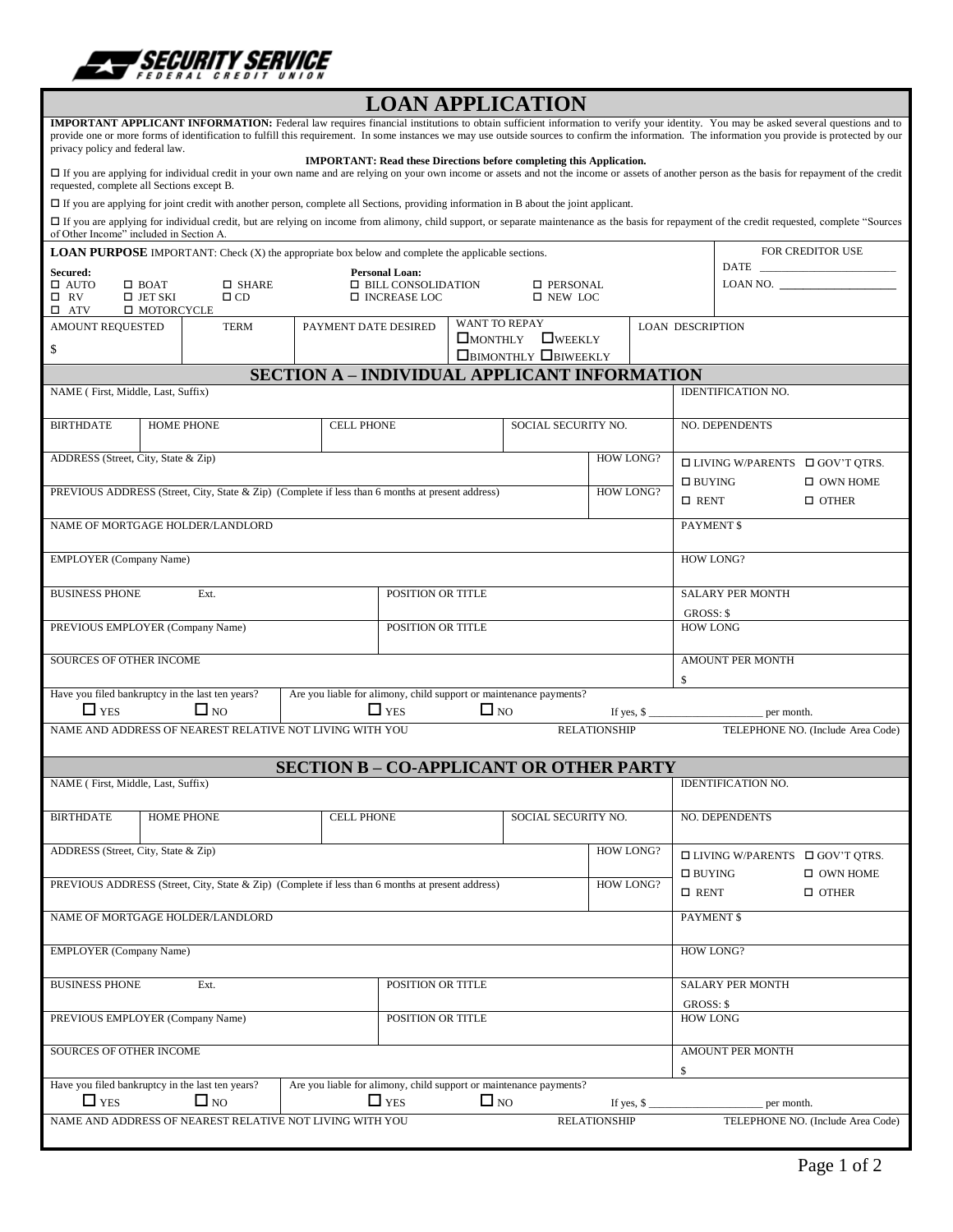

| <b>LOAN APPLICATION</b>                                                                                                                                                                                                                                                                                                                                                                                                         |                                                                    |                                                                                    |           |                     |                                              |                                      |                                            |                                            |  |
|---------------------------------------------------------------------------------------------------------------------------------------------------------------------------------------------------------------------------------------------------------------------------------------------------------------------------------------------------------------------------------------------------------------------------------|--------------------------------------------------------------------|------------------------------------------------------------------------------------|-----------|---------------------|----------------------------------------------|--------------------------------------|--------------------------------------------|--------------------------------------------|--|
| <b>IMPORTANT APPLICANT INFORMATION:</b> Federal law requires financial institutions to obtain sufficient information to verify your identity. You may be asked several questions and to<br>provide one or more forms of identification to fulfill this requirement. In some instances we may use outside sources to confirm the information. The information you provide is protected by our<br>privacy policy and federal law. |                                                                    |                                                                                    |           |                     |                                              |                                      |                                            |                                            |  |
| <b>IMPORTANT: Read these Directions before completing this Application.</b><br>□ If you are applying for individual credit in your own name and are relying on your own income or assets and not the income or assets of another person as the basis for repayment of the credit<br>requested, complete all Sections except B.                                                                                                  |                                                                    |                                                                                    |           |                     |                                              |                                      |                                            |                                            |  |
| $\Box$ If you are applying for joint credit with another person, complete all Sections, providing information in B about the joint applicant.                                                                                                                                                                                                                                                                                   |                                                                    |                                                                                    |           |                     |                                              |                                      |                                            |                                            |  |
| □ If you are applying for individual credit, but are relying on income from alimony, child support, or separate maintenance as the basis for repayment of the credit requested, complete "Sources<br>of Other Income" included in Section A.                                                                                                                                                                                    |                                                                    |                                                                                    |           |                     |                                              |                                      |                                            |                                            |  |
| <b>LOAN PURPOSE</b> IMPORTANT: Check (X) the appropriate box below and complete the applicable sections.                                                                                                                                                                                                                                                                                                                        |                                                                    |                                                                                    |           |                     |                                              |                                      | FOR CREDITOR USE                           |                                            |  |
| Secured:                                                                                                                                                                                                                                                                                                                                                                                                                        | <b>Personal Loan:</b><br>$\Box$ SHARE                              |                                                                                    |           |                     |                                              |                                      | <b>DATE</b>                                |                                            |  |
| $\Box$ AUTO<br>$\Box$ BOAT<br>$\Box$ CD<br>$\square$ RV<br>$\square$ JET SKI<br>□ MOTORCYCLE<br>$\square$ ATV                                                                                                                                                                                                                                                                                                                   |                                                                    | $\Box$ BILL CONSOLIDATION<br>□ PERSONAL<br>□ INCREASE LOC<br>$\square$ NEW LOC     |           |                     |                                              |                                      |                                            |                                            |  |
| <b>AMOUNT REQUESTED</b><br><b>TERM</b><br>\$                                                                                                                                                                                                                                                                                                                                                                                    |                                                                    | <b>WANT TO REPAY</b><br>PAYMENT DATE DESIRED<br>$\square$ MONTHLY $\square$ WEEKLY |           |                     |                                              |                                      | <b>LOAN DESCRIPTION</b>                    |                                            |  |
| <b>BIMONTHLY BIWEEKLY</b>                                                                                                                                                                                                                                                                                                                                                                                                       |                                                                    |                                                                                    |           |                     |                                              |                                      |                                            |                                            |  |
| <b>SECTION A - INDIVIDUAL APPLICANT INFORMATION</b><br>NAME (First, Middle, Last, Suffix)<br><b>IDENTIFICATION NO.</b>                                                                                                                                                                                                                                                                                                          |                                                                    |                                                                                    |           |                     |                                              |                                      |                                            |                                            |  |
| <b>HOME PHONE</b><br><b>BIRTHDATE</b>                                                                                                                                                                                                                                                                                                                                                                                           | <b>CELL PHONE</b>                                                  |                                                                                    |           | SOCIAL SECURITY NO. |                                              |                                      | <b>NO. DEPENDENTS</b>                      |                                            |  |
|                                                                                                                                                                                                                                                                                                                                                                                                                                 |                                                                    |                                                                                    |           |                     |                                              |                                      |                                            |                                            |  |
| ADDRESS (Street, City, State & Zip)                                                                                                                                                                                                                                                                                                                                                                                             |                                                                    |                                                                                    |           |                     | <b>HOW LONG?</b>                             |                                      | $\Box$ LIVING W/PARENTS $\Box$ GOV'T QTRS. |                                            |  |
| PREVIOUS ADDRESS (Street, City, State & Zip) (Complete if less than 6 months at present address)                                                                                                                                                                                                                                                                                                                                |                                                                    |                                                                                    |           |                     | <b>HOW LONG?</b>                             | $\Box$ BUYING<br>$\Box$ RENT         |                                            | $\Box$ OWN HOME<br>$\Box$ OTHER            |  |
| NAME OF MORTGAGE HOLDER/LANDLORD                                                                                                                                                                                                                                                                                                                                                                                                |                                                                    |                                                                                    |           |                     |                                              |                                      | PAYMENT \$                                 |                                            |  |
|                                                                                                                                                                                                                                                                                                                                                                                                                                 |                                                                    |                                                                                    |           |                     |                                              |                                      |                                            |                                            |  |
| <b>EMPLOYER</b> (Company Name)                                                                                                                                                                                                                                                                                                                                                                                                  |                                                                    |                                                                                    |           |                     |                                              |                                      | <b>HOW LONG?</b>                           |                                            |  |
| <b>BUSINESS PHONE</b><br>Ext.                                                                                                                                                                                                                                                                                                                                                                                                   | POSITION OR TITLE                                                  |                                                                                    |           |                     |                                              | <b>SALARY PER MONTH</b><br>GROSS: \$ |                                            |                                            |  |
| PREVIOUS EMPLOYER (Company Name)                                                                                                                                                                                                                                                                                                                                                                                                | POSITION OR TITLE                                                  |                                                                                    |           |                     |                                              | <b>HOW LONG</b>                      |                                            |                                            |  |
| <b>SOURCES OF OTHER INCOME</b>                                                                                                                                                                                                                                                                                                                                                                                                  |                                                                    |                                                                                    |           |                     |                                              |                                      | AMOUNT PER MONTH                           |                                            |  |
| \$<br>Have you filed bankruptcy in the last ten years?<br>Are you liable for alimony, child support or maintenance payments?                                                                                                                                                                                                                                                                                                    |                                                                    |                                                                                    |           |                     |                                              |                                      |                                            |                                            |  |
| $\Box$ YES<br>$\Box$ NO                                                                                                                                                                                                                                                                                                                                                                                                         |                                                                    | $\Box$ YES                                                                         | $\Box$ NO |                     |                                              |                                      | If yes, $\frac{\epsilon}{2}$ per month.    |                                            |  |
| NAME AND ADDRESS OF NEAREST RELATIVE NOT LIVING WITH YOU<br><b>RELATIONSHIP</b><br>TELEPHONE NO. (Include Area Code)                                                                                                                                                                                                                                                                                                            |                                                                    |                                                                                    |           |                     |                                              |                                      |                                            |                                            |  |
|                                                                                                                                                                                                                                                                                                                                                                                                                                 | <b>SECTION B - CO-APPLICANT OR OTHER PARTY</b>                     |                                                                                    |           |                     |                                              |                                      |                                            |                                            |  |
| NAME (First, Middle, Last, Suffix)                                                                                                                                                                                                                                                                                                                                                                                              |                                                                    |                                                                                    |           |                     |                                              | <b>IDENTIFICATION NO.</b>            |                                            |                                            |  |
| <b>HOME PHONE</b><br><b>BIRTHDATE</b>                                                                                                                                                                                                                                                                                                                                                                                           | <b>CELL PHONE</b>                                                  |                                                                                    |           | SOCIAL SECURITY NO. |                                              |                                      | <b>NO. DEPENDENTS</b>                      |                                            |  |
| ADDRESS (Street, City, State & Zip)                                                                                                                                                                                                                                                                                                                                                                                             |                                                                    |                                                                                    |           |                     | <b>HOW LONG?</b>                             |                                      |                                            | $\Box$ LIVING W/PARENTS $\Box$ GOV'T QTRS. |  |
| PREVIOUS ADDRESS (Street, City, State & Zip) (Complete if less than 6 months at present address)<br><b>HOW LONG?</b>                                                                                                                                                                                                                                                                                                            |                                                                    |                                                                                    |           |                     |                                              |                                      | $\square$ BUYING<br>$\Box$ OWN HOME        |                                            |  |
|                                                                                                                                                                                                                                                                                                                                                                                                                                 |                                                                    |                                                                                    |           |                     |                                              |                                      | $\square$ RENT                             | $\Box$ OTHER                               |  |
| NAME OF MORTGAGE HOLDER/LANDLORD                                                                                                                                                                                                                                                                                                                                                                                                |                                                                    |                                                                                    |           |                     |                                              |                                      | PAYMENT \$                                 |                                            |  |
| <b>EMPLOYER</b> (Company Name)                                                                                                                                                                                                                                                                                                                                                                                                  |                                                                    |                                                                                    |           |                     |                                              |                                      | <b>HOW LONG?</b>                           |                                            |  |
| <b>BUSINESS PHONE</b><br>Ext.                                                                                                                                                                                                                                                                                                                                                                                                   | POSITION OR TITLE                                                  |                                                                                    |           |                     |                                              | <b>SALARY PER MONTH</b>              |                                            |                                            |  |
|                                                                                                                                                                                                                                                                                                                                                                                                                                 |                                                                    |                                                                                    |           |                     |                                              | GROSS: \$                            |                                            |                                            |  |
| PREVIOUS EMPLOYER (Company Name)                                                                                                                                                                                                                                                                                                                                                                                                | POSITION OR TITLE                                                  |                                                                                    |           |                     |                                              | <b>HOW LONG</b>                      |                                            |                                            |  |
| SOURCES OF OTHER INCOME                                                                                                                                                                                                                                                                                                                                                                                                         |                                                                    |                                                                                    |           |                     |                                              | AMOUNT PER MONTH<br>\$               |                                            |                                            |  |
| Have you filed bankruptcy in the last ten years?                                                                                                                                                                                                                                                                                                                                                                                | Are you liable for alimony, child support or maintenance payments? |                                                                                    |           |                     |                                              |                                      |                                            |                                            |  |
| $\Box$ YES<br>$\Box$ NO<br>NAME AND ADDRESS OF NEAREST RELATIVE NOT LIVING WITH YOU                                                                                                                                                                                                                                                                                                                                             |                                                                    | $\Box$ YES                                                                         | $\Box$ NO |                     | If yes, $\frac{1}{2}$<br><b>RELATIONSHIP</b> |                                      | per month.                                 | TELEPHONE NO. (Include Area Code)          |  |
|                                                                                                                                                                                                                                                                                                                                                                                                                                 |                                                                    |                                                                                    |           |                     |                                              |                                      |                                            |                                            |  |